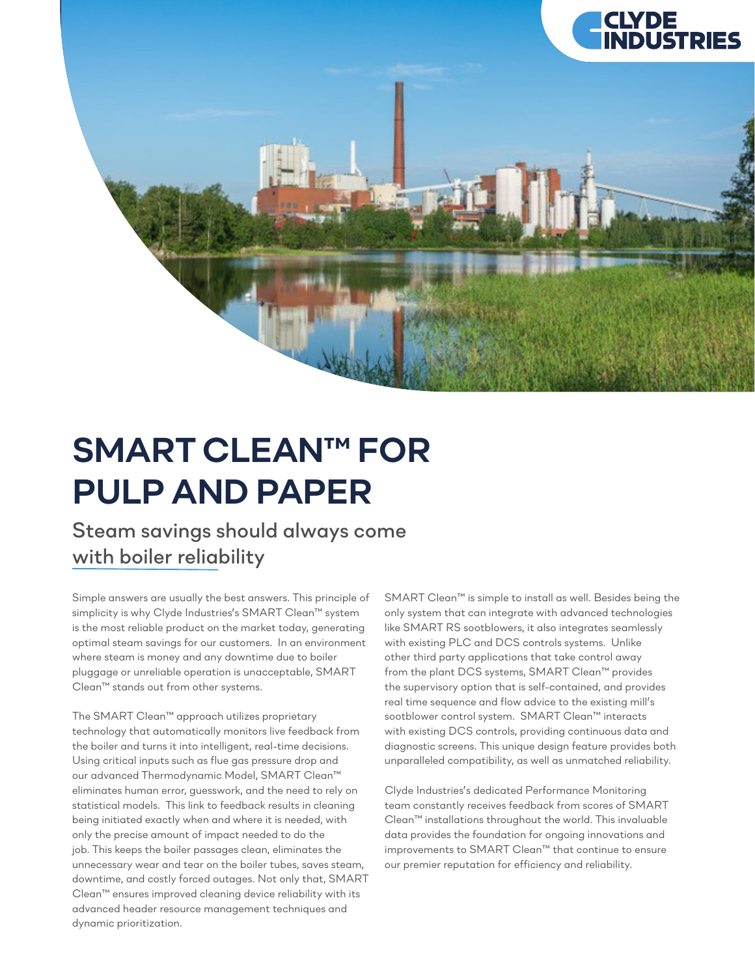

## *SMART CLEAN™ FOR PULP AND PAPER*

## *Steam savings should always come with boiler reliability*

*Simple answers are usually the best answers. This principle of simplicity is why Clyde Industries's SMART Clean™ system is the most reliable product on the market today, generating optimal steam savings for our customers. In an environment where steam is money and any downtime due to boiler pluggage or unreliable operation is unacceptable, SMART Clean™ stands out from other systems.*

*The SMART Clean™ approach utilizes proprietary technology that automatically monitors live feedback from the boiler and turns it into intelligent, real-time decisions. Using critical inputs such as flue gas pressure drop and our advanced Thermodynamic Model, SMART Clean™ eliminates human error, guesswork, and the need to rely on statistical models. This link to feedback results in cleaning being initiated exactly when and where it is needed, with only the precise amount of impact needed to do the job. This keeps the boiler passages clean, eliminates the unnecessary wear and tear on the boiler tubes, saves steam, downtime, and costly forced outages. Not only that, SMART Clean™ ensures improved cleaning device reliability with its advanced header resource management techniques and dynamic prioritization.*

*SMART Clean™ is simple to install as well. Besides being the only system that can integrate with advanced technologies like SMART RS sootblowers, it also integrates seamlessly with existing PLC and DCS controls systems. Unlike other third party applications that take control away from the plant DCS systems, SMART Clean™ provides the supervisory option that is self-contained, and provides real time sequence and flow advice to the existing mill's sootblower control system. SMART Clean™ interacts with existing DCS controls, providing continuous data and diagnostic screens. This unique design feature provides both unparalleled compatibility, as well as unmatched reliability.* 

*Clyde Industries's dedicated Performance Monitoring team constantly receives feedback from scores of SMART Clean™ installations throughout the world. This invaluable data provides the foundation for ongoing innovations and improvements to SMART Clean™ that continue to ensure our premier reputation for efficiency and reliability.*